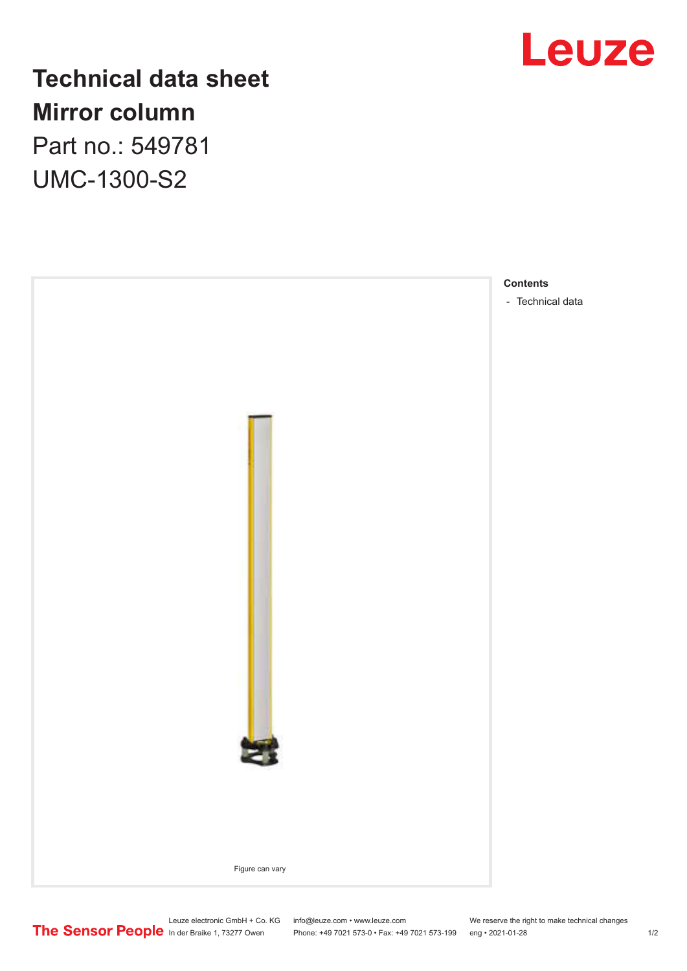

## **Technical data sheet Mirror column** Part no.: 549781 UMC-1300-S2



Leuze electronic GmbH + Co. KG info@leuze.com • www.leuze.com We reserve the right to make technical changes